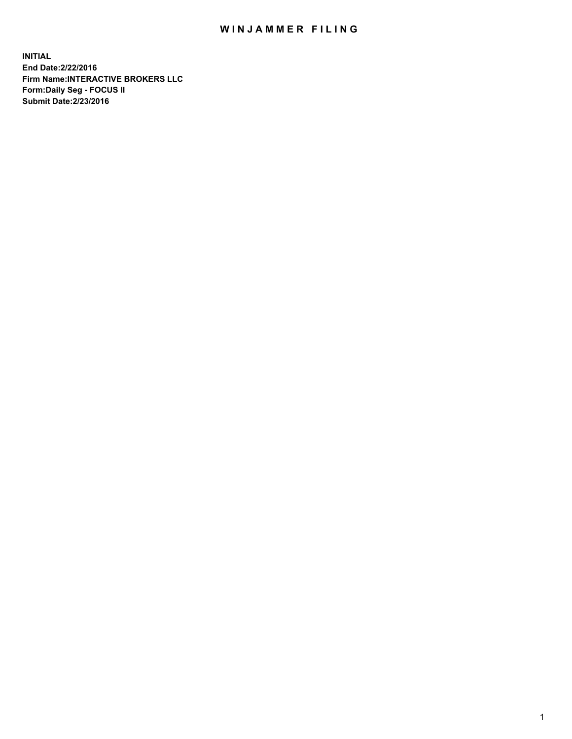## WIN JAMMER FILING

**INITIAL End Date:2/22/2016 Firm Name:INTERACTIVE BROKERS LLC Form:Daily Seg - FOCUS II Submit Date:2/23/2016**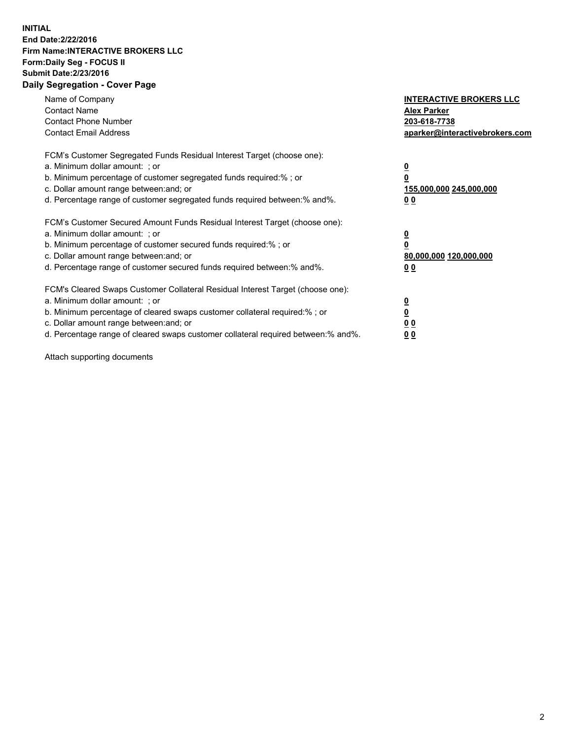## **INITIAL End Date:2/22/2016 Firm Name:INTERACTIVE BROKERS LLC Form:Daily Seg - FOCUS II Submit Date:2/23/2016 Daily Segregation - Cover Page**

| Name of Company<br><b>Contact Name</b><br><b>Contact Phone Number</b><br><b>Contact Email Address</b>                                                                                                                                                                                                                         | <b>INTERACTIVE BROKERS LLC</b><br><b>Alex Parker</b><br>203-618-7738<br>aparker@interactivebrokers.com |
|-------------------------------------------------------------------------------------------------------------------------------------------------------------------------------------------------------------------------------------------------------------------------------------------------------------------------------|--------------------------------------------------------------------------------------------------------|
| FCM's Customer Segregated Funds Residual Interest Target (choose one):<br>a. Minimum dollar amount: ; or<br>b. Minimum percentage of customer segregated funds required:% ; or<br>c. Dollar amount range between: and; or<br>d. Percentage range of customer segregated funds required between:% and%.                        | <u>0</u><br>155,000,000 245,000,000<br>0 <sub>0</sub>                                                  |
| FCM's Customer Secured Amount Funds Residual Interest Target (choose one):<br>a. Minimum dollar amount: ; or<br>b. Minimum percentage of customer secured funds required:%; or<br>c. Dollar amount range between: and; or<br>d. Percentage range of customer secured funds required between: % and %.                         | <u>0</u><br>80,000,000 120,000,000<br><u>00</u>                                                        |
| FCM's Cleared Swaps Customer Collateral Residual Interest Target (choose one):<br>a. Minimum dollar amount: ; or<br>b. Minimum percentage of cleared swaps customer collateral required:%; or<br>c. Dollar amount range between: and; or<br>d. Percentage range of cleared swaps customer collateral required between:% and%. | <u>0</u><br>0 <sub>0</sub><br>0 <sub>0</sub>                                                           |

Attach supporting documents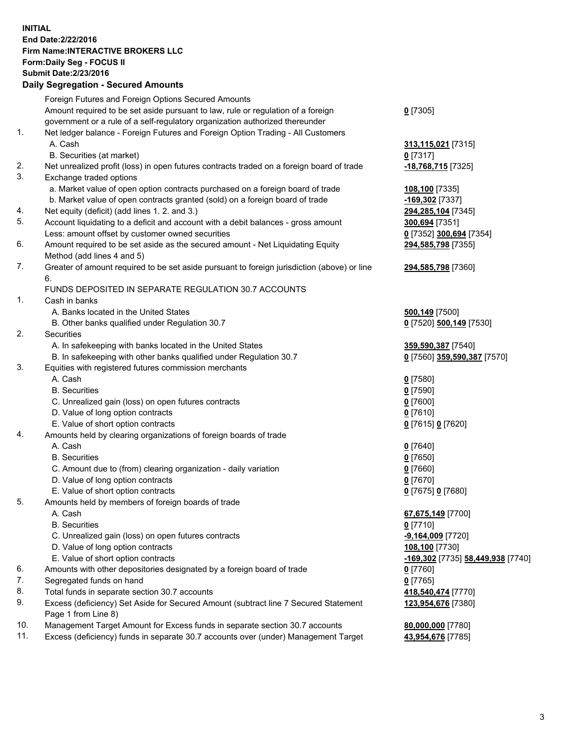## **INITIAL End Date:2/22/2016 Firm Name:INTERACTIVE BROKERS LLC Form:Daily Seg - FOCUS II Submit Date:2/23/2016 Daily Segregation - Secured Amounts**

|     | Daily Ocglegation - Occured Aniounts                                                        |                                   |
|-----|---------------------------------------------------------------------------------------------|-----------------------------------|
|     | Foreign Futures and Foreign Options Secured Amounts                                         |                                   |
|     | Amount required to be set aside pursuant to law, rule or regulation of a foreign            | $0$ [7305]                        |
|     | government or a rule of a self-regulatory organization authorized thereunder                |                                   |
| 1.  | Net ledger balance - Foreign Futures and Foreign Option Trading - All Customers             |                                   |
|     | A. Cash                                                                                     | 313,115,021 [7315]                |
|     | B. Securities (at market)                                                                   | $0$ [7317]                        |
| 2.  | Net unrealized profit (loss) in open futures contracts traded on a foreign board of trade   | -18,768,715 [7325]                |
| 3.  | Exchange traded options                                                                     |                                   |
|     | a. Market value of open option contracts purchased on a foreign board of trade              |                                   |
|     | b. Market value of open contracts granted (sold) on a foreign board of trade                | 108,100 [7335]                    |
|     |                                                                                             | -169,302 [7337]                   |
| 4.  | Net equity (deficit) (add lines 1.2. and 3.)                                                | 294,285,104 [7345]                |
| 5.  | Account liquidating to a deficit and account with a debit balances - gross amount           | 300,694 [7351]                    |
|     | Less: amount offset by customer owned securities                                            | 0 [7352] 300,694 [7354]           |
| 6.  | Amount required to be set aside as the secured amount - Net Liquidating Equity              | 294,585,798 [7355]                |
|     | Method (add lines 4 and 5)                                                                  |                                   |
| 7.  | Greater of amount required to be set aside pursuant to foreign jurisdiction (above) or line | 294,585,798 [7360]                |
|     | 6.                                                                                          |                                   |
|     | FUNDS DEPOSITED IN SEPARATE REGULATION 30.7 ACCOUNTS                                        |                                   |
| 1.  | Cash in banks                                                                               |                                   |
|     | A. Banks located in the United States                                                       | <b>500,149</b> [7500]             |
|     | B. Other banks qualified under Regulation 30.7                                              | 0 [7520] 500,149 [7530]           |
| 2.  | <b>Securities</b>                                                                           |                                   |
|     | A. In safekeeping with banks located in the United States                                   | 359,590,387 [7540]                |
|     | B. In safekeeping with other banks qualified under Regulation 30.7                          | 0 [7560] 359,590,387 [7570]       |
| 3.  | Equities with registered futures commission merchants                                       |                                   |
|     | A. Cash                                                                                     | $0$ [7580]                        |
|     | <b>B.</b> Securities                                                                        | $0$ [7590]                        |
|     | C. Unrealized gain (loss) on open futures contracts                                         | $0$ [7600]                        |
|     | D. Value of long option contracts                                                           | $0$ [7610]                        |
|     | E. Value of short option contracts                                                          | 0 [7615] 0 [7620]                 |
| 4.  | Amounts held by clearing organizations of foreign boards of trade                           |                                   |
|     | A. Cash                                                                                     |                                   |
|     |                                                                                             | $0$ [7640]                        |
|     | <b>B.</b> Securities                                                                        | $0$ [7650]                        |
|     | C. Amount due to (from) clearing organization - daily variation                             | $0$ [7660]                        |
|     | D. Value of long option contracts                                                           | $0$ [7670]                        |
|     | E. Value of short option contracts                                                          | 0 [7675] 0 [7680]                 |
| 5.  | Amounts held by members of foreign boards of trade                                          |                                   |
|     | A. Cash                                                                                     | 67,675,149 [7700]                 |
|     | <b>B.</b> Securities                                                                        | $0$ [7710]                        |
|     | C. Unrealized gain (loss) on open futures contracts                                         | $-9,164,009$ [7720]               |
|     | D. Value of long option contracts                                                           | 108,100 [7730]                    |
|     | E. Value of short option contracts                                                          | -169,302 [7735] 58,449,938 [7740] |
| 6.  | Amounts with other depositories designated by a foreign board of trade                      | 0 [7760]                          |
| 7.  | Segregated funds on hand                                                                    | $0$ [7765]                        |
| 8.  | Total funds in separate section 30.7 accounts                                               | 418,540,474 [7770]                |
| 9.  | Excess (deficiency) Set Aside for Secured Amount (subtract line 7 Secured Statement         | 123,954,676 [7380]                |
|     | Page 1 from Line 8)                                                                         |                                   |
| 10. | Management Target Amount for Excess funds in separate section 30.7 accounts                 | 80,000,000 [7780]                 |
| 11. | Excess (deficiency) funds in separate 30.7 accounts over (under) Management Target          | 43,954,676 [7785]                 |
|     |                                                                                             |                                   |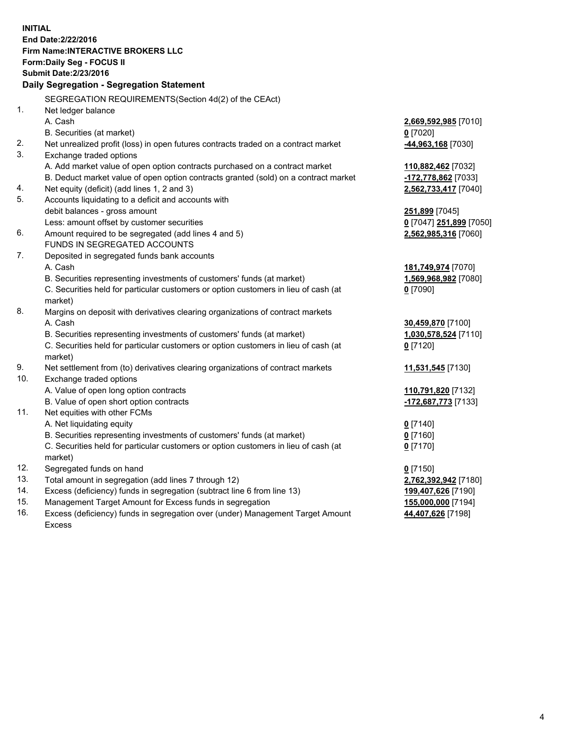**INITIAL End Date:2/22/2016 Firm Name:INTERACTIVE BROKERS LLC Form:Daily Seg - FOCUS II Submit Date:2/23/2016 Daily Segregation - Segregation Statement** SEGREGATION REQUIREMENTS(Section 4d(2) of the CEAct) 1. Net ledger balance A. Cash **2,669,592,985** [7010] B. Securities (at market) **0** [7020] 2. Net unrealized profit (loss) in open futures contracts traded on a contract market **-44,963,168** [7030] 3. Exchange traded options A. Add market value of open option contracts purchased on a contract market **110,882,462** [7032] B. Deduct market value of open option contracts granted (sold) on a contract market **-172,778,862** [7033] 4. Net equity (deficit) (add lines 1, 2 and 3) **2,562,733,417** [7040] 5. Accounts liquidating to a deficit and accounts with debit balances - gross amount **251,899** [7045] Less: amount offset by customer securities **0** [7047] **251,899** [7050] 6. Amount required to be segregated (add lines 4 and 5) **2,562,985,316** [7060] FUNDS IN SEGREGATED ACCOUNTS 7. Deposited in segregated funds bank accounts A. Cash **181,749,974** [7070] B. Securities representing investments of customers' funds (at market) **1,569,968,982** [7080] C. Securities held for particular customers or option customers in lieu of cash (at market) **0** [7090] 8. Margins on deposit with derivatives clearing organizations of contract markets A. Cash **30,459,870** [7100] B. Securities representing investments of customers' funds (at market) **1,030,578,524** [7110] C. Securities held for particular customers or option customers in lieu of cash (at market) **0** [7120] 9. Net settlement from (to) derivatives clearing organizations of contract markets **11,531,545** [7130] 10. Exchange traded options A. Value of open long option contracts **110,791,820** [7132] B. Value of open short option contracts **-172,687,773** [7133] 11. Net equities with other FCMs A. Net liquidating equity **0** [7140] B. Securities representing investments of customers' funds (at market) **0** [7160] C. Securities held for particular customers or option customers in lieu of cash (at market) **0** [7170] 12. Segregated funds on hand **0** [7150] 13. Total amount in segregation (add lines 7 through 12) **2,762,392,942** [7180] 14. Excess (deficiency) funds in segregation (subtract line 6 from line 13) **199,407,626** [7190] 15. Management Target Amount for Excess funds in segregation **155,000,000** [7194] **44,407,626** [7198]

16. Excess (deficiency) funds in segregation over (under) Management Target Amount Excess

4